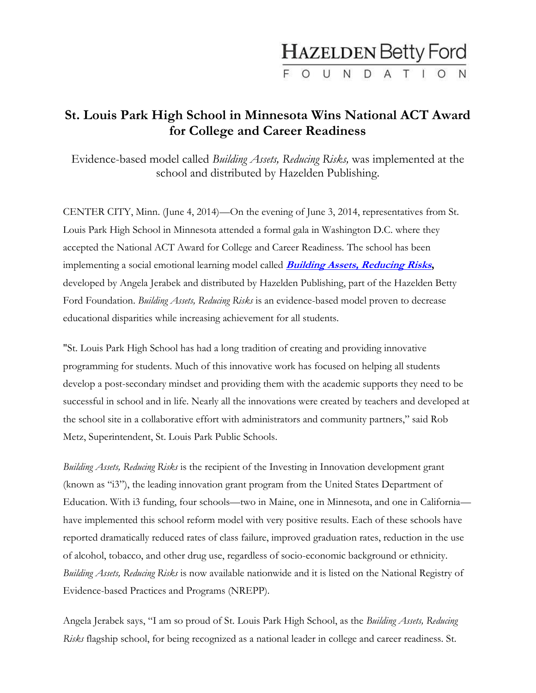## **HAZELDEN Betty Ford** FOUNDATION

## **St. Louis Park High School in Minnesota Wins National ACT Award for College and Career Readiness**

Evidence-based model called *Building Assets, Reducing Risks,* was implemented at the school and distributed by Hazelden Publishing.

CENTER CITY, Minn. (June 4, 2014)—On the evening of June 3, 2014, representatives from St. Louis Park High School in Minnesota attended a formal gala in Washington D.C. where they accepted the National ACT Award for College and Career Readiness. The school has been implementing a social emotional learning model called **[Building Assets, Reducing Risks](http://www.hazelden.org/web/go/buildingassets),** developed by Angela Jerabek and distributed by Hazelden Publishing, part of the Hazelden Betty Ford Foundation. *Building Assets, Reducing Risks* is an evidence-based model proven to decrease educational disparities while increasing achievement for all students.

"St. Louis Park High School has had a long tradition of creating and providing innovative programming for students. Much of this innovative work has focused on helping all students develop a post-secondary mindset and providing them with the academic supports they need to be successful in school and in life. Nearly all the innovations were created by teachers and developed at the school site in a collaborative effort with administrators and community partners," said Rob Metz, Superintendent, St. Louis Park Public Schools.

*Building Assets, Reducing Risks* is the recipient of the Investing in Innovation development grant (known as "i3"), the leading innovation grant program from the United States Department of Education. With i3 funding, four schools—two in Maine, one in Minnesota, and one in California have implemented this school reform model with very positive results. Each of these schools have reported dramatically reduced rates of class failure, improved graduation rates, reduction in the use of alcohol, tobacco, and other drug use, regardless of socio-economic background or ethnicity. *Building Assets, Reducing Risks* is now available nationwide and it is listed on the National Registry of Evidence-based Practices and Programs (NREPP).

Angela Jerabek says, "I am so proud of St. Louis Park High School, as the *Building Assets, Reducing Risks* flagship school, for being recognized as a national leader in college and career readiness. St.